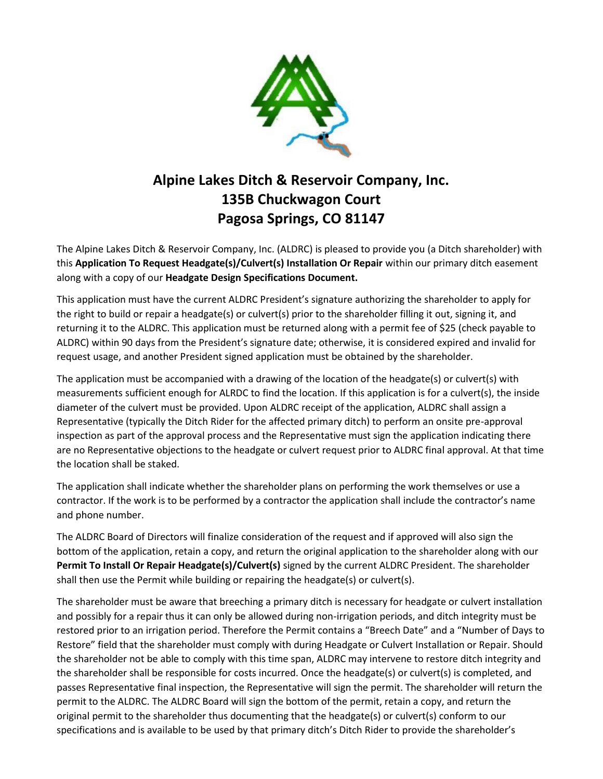

# **Alpine Lakes Ditch & Reservoir Company, Inc. 135B Chuckwagon Court Pagosa Springs, CO 81147**

The Alpine Lakes Ditch & Reservoir Company, Inc. (ALDRC) is pleased to provide you (a Ditch shareholder) with this **Application To Request Headgate(s)/Culvert(s) Installation Or Repair** within our primary ditch easement along with a copy of our **Headgate Design Specifications Document.**

This application must have the current ALDRC President's signature authorizing the shareholder to apply for the right to build or repair a headgate(s) or culvert(s) prior to the shareholder filling it out, signing it, and returning it to the ALDRC. This application must be returned along with a permit fee of \$25 (check payable to ALDRC) within 90 days from the President's signature date; otherwise, it is considered expired and invalid for request usage, and another President signed application must be obtained by the shareholder.

The application must be accompanied with a drawing of the location of the headgate(s) or culvert(s) with measurements sufficient enough for ALRDC to find the location. If this application is for a culvert(s), the inside diameter of the culvert must be provided. Upon ALDRC receipt of the application, ALDRC shall assign a Representative (typically the Ditch Rider for the affected primary ditch) to perform an onsite pre-approval inspection as part of the approval process and the Representative must sign the application indicating there are no Representative objections to the headgate or culvert request prior to ALDRC final approval. At that time the location shall be staked.

The application shall indicate whether the shareholder plans on performing the work themselves or use a contractor. If the work is to be performed by a contractor the application shall include the contractor's name and phone number.

The ALDRC Board of Directors will finalize consideration of the request and if approved will also sign the bottom of the application, retain a copy, and return the original application to the shareholder along with our **Permit To Install Or Repair Headgate(s)/Culvert(s)** signed by the current ALDRC President. The shareholder shall then use the Permit while building or repairing the headgate(s) or culvert(s).

The shareholder must be aware that breeching a primary ditch is necessary for headgate or culvert installation and possibly for a repair thus it can only be allowed during non-irrigation periods, and ditch integrity must be restored prior to an irrigation period. Therefore the Permit contains a "Breech Date" and a "Number of Days to Restore" field that the shareholder must comply with during Headgate or Culvert Installation or Repair. Should the shareholder not be able to comply with this time span, ALDRC may intervene to restore ditch integrity and the shareholder shall be responsible for costs incurred. Once the headgate(s) or culvert(s) is completed, and passes Representative final inspection, the Representative will sign the permit. The shareholder will return the permit to the ALDRC. The ALDRC Board will sign the bottom of the permit, retain a copy, and return the original permit to the shareholder thus documenting that the headgate(s) or culvert(s) conform to our specifications and is available to be used by that primary ditch's Ditch Rider to provide the shareholder's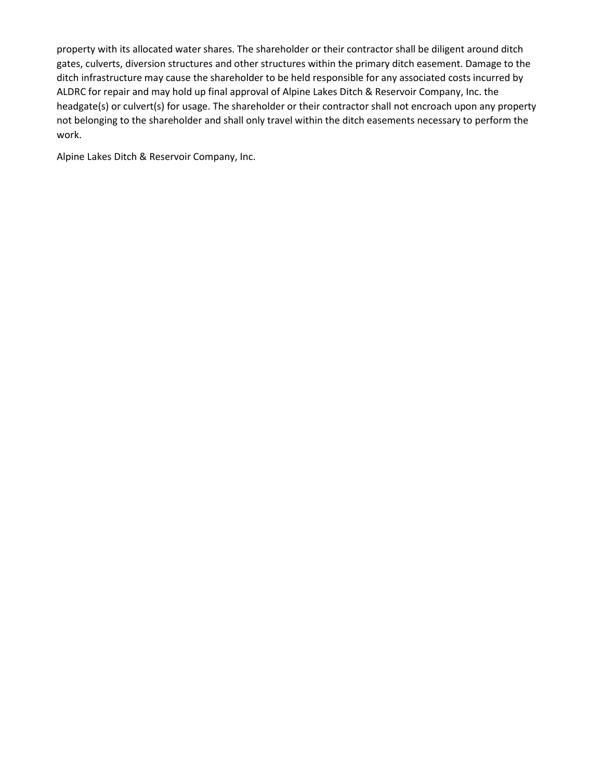property with its allocated water shares. The shareholder or their contractor shall be diligent around ditch gates, culverts, diversion structures and other structures within the primary ditch easement. Damage to the ditch infrastructure may cause the shareholder to be held responsible for any associated costs incurred by ALDRC for repair and may hold up final approval of Alpine Lakes Ditch & Reservoir Company, Inc. the headgate(s) or culvert(s) for usage. The shareholder or their contractor shall not encroach upon any property not belonging to the shareholder and shall only travel within the ditch easements necessary to perform the work.

Alpine Lakes Ditch & Reservoir Company, Inc.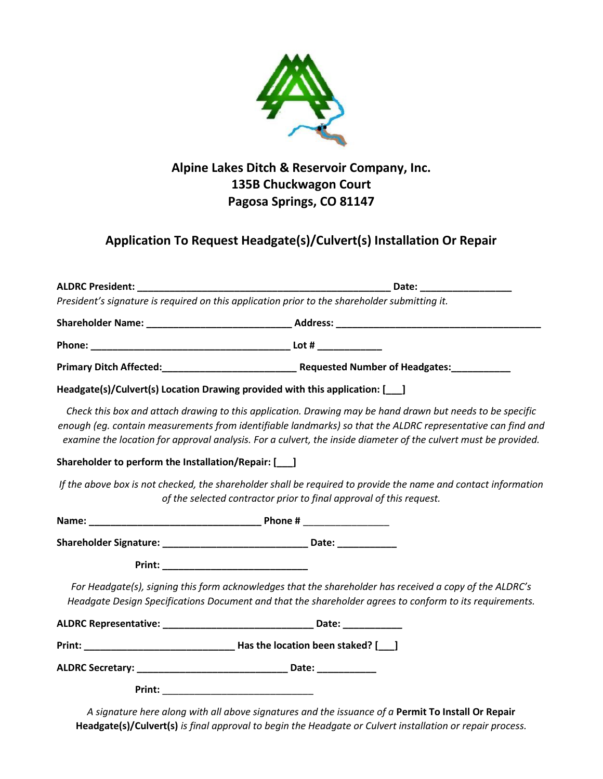

### **Alpine Lakes Ditch & Reservoir Company, Inc. 135B Chuckwagon Court Pagosa Springs, CO 81147**

## **Application To Request Headgate(s)/Culvert(s) Installation Or Repair**

|                                                       | President's signature is required on this application prior to the shareholder submitting it.                                                                                                                                                                                                                                               |
|-------------------------------------------------------|---------------------------------------------------------------------------------------------------------------------------------------------------------------------------------------------------------------------------------------------------------------------------------------------------------------------------------------------|
|                                                       |                                                                                                                                                                                                                                                                                                                                             |
|                                                       |                                                                                                                                                                                                                                                                                                                                             |
|                                                       |                                                                                                                                                                                                                                                                                                                                             |
|                                                       | Headgate(s)/Culvert(s) Location Drawing provided with this application: [166]                                                                                                                                                                                                                                                               |
|                                                       | Check this box and attach drawing to this application. Drawing may be hand drawn but needs to be specific<br>enough (eg. contain measurements from identifiable landmarks) so that the ALDRC representative can find and<br>examine the location for approval analysis. For a culvert, the inside diameter of the culvert must be provided. |
| Shareholder to perform the Installation/Repair: [166] |                                                                                                                                                                                                                                                                                                                                             |
|                                                       | If the above box is not checked, the shareholder shall be required to provide the name and contact information<br>of the selected contractor prior to final approval of this request.                                                                                                                                                       |
|                                                       |                                                                                                                                                                                                                                                                                                                                             |
|                                                       |                                                                                                                                                                                                                                                                                                                                             |
| Print: _________________________________              |                                                                                                                                                                                                                                                                                                                                             |
|                                                       | For Headgate(s), signing this form acknowledges that the shareholder has received a copy of the ALDRC's<br>Headgate Design Specifications Document and that the shareholder agrees to conform to its requirements.                                                                                                                          |
|                                                       |                                                                                                                                                                                                                                                                                                                                             |
| Print:                                                |                                                                                                                                                                                                                                                                                                                                             |
|                                                       |                                                                                                                                                                                                                                                                                                                                             |
|                                                       |                                                                                                                                                                                                                                                                                                                                             |

*A signature here along with all above signatures and the issuance of a* **Permit To Install Or Repair Headgate(s)/Culvert(s)** *is final approval to begin the Headgate or Culvert installation or repair process.*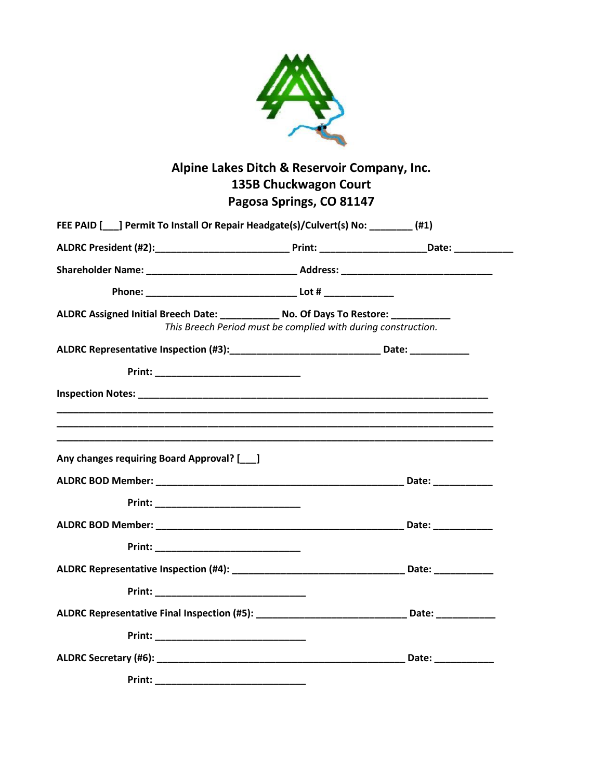

## **Alpine Lakes Ditch & Reservoir Company, Inc. 135B Chuckwagon Court Pagosa Springs, CO 81147**

| ALDRC Assigned Initial Breech Date: _____________ No. Of Days To Restore: ___________                |                                                               |  |
|------------------------------------------------------------------------------------------------------|---------------------------------------------------------------|--|
|                                                                                                      | This Breech Period must be complied with during construction. |  |
| ALDRC Representative Inspection (#3):__________________________________Date: _______________________ |                                                               |  |
|                                                                                                      |                                                               |  |
|                                                                                                      |                                                               |  |
| Any changes requiring Board Approval? [149]                                                          |                                                               |  |
|                                                                                                      |                                                               |  |
|                                                                                                      |                                                               |  |
|                                                                                                      |                                                               |  |
|                                                                                                      |                                                               |  |
|                                                                                                      |                                                               |  |
|                                                                                                      |                                                               |  |
| ALDRC Representative Final Inspection (#5): __________________________________Date: _______________  |                                                               |  |
|                                                                                                      |                                                               |  |
|                                                                                                      |                                                               |  |
|                                                                                                      |                                                               |  |